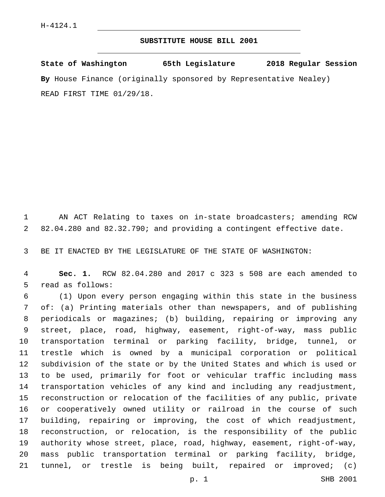## **SUBSTITUTE HOUSE BILL 2001**

**State of Washington 65th Legislature 2018 Regular Session By** House Finance (originally sponsored by Representative Nealey) READ FIRST TIME 01/29/18.

 AN ACT Relating to taxes on in-state broadcasters; amending RCW 82.04.280 and 82.32.790; and providing a contingent effective date.

BE IT ENACTED BY THE LEGISLATURE OF THE STATE OF WASHINGTON:

 **Sec. 1.** RCW 82.04.280 and 2017 c 323 s 508 are each amended to 5 read as follows:

 (1) Upon every person engaging within this state in the business of: (a) Printing materials other than newspapers, and of publishing periodicals or magazines; (b) building, repairing or improving any street, place, road, highway, easement, right-of-way, mass public transportation terminal or parking facility, bridge, tunnel, or trestle which is owned by a municipal corporation or political subdivision of the state or by the United States and which is used or to be used, primarily for foot or vehicular traffic including mass transportation vehicles of any kind and including any readjustment, reconstruction or relocation of the facilities of any public, private or cooperatively owned utility or railroad in the course of such building, repairing or improving, the cost of which readjustment, reconstruction, or relocation, is the responsibility of the public authority whose street, place, road, highway, easement, right-of-way, mass public transportation terminal or parking facility, bridge, tunnel, or trestle is being built, repaired or improved; (c)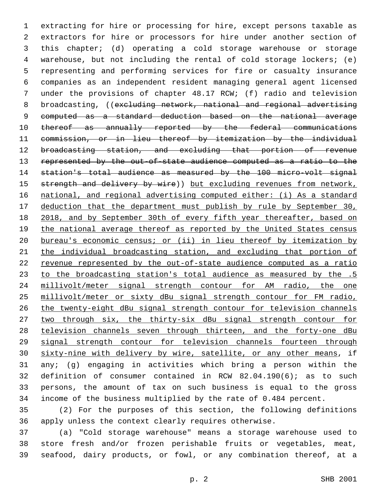extracting for hire or processing for hire, except persons taxable as extractors for hire or processors for hire under another section of this chapter; (d) operating a cold storage warehouse or storage warehouse, but not including the rental of cold storage lockers; (e) representing and performing services for fire or casualty insurance companies as an independent resident managing general agent licensed under the provisions of chapter 48.17 RCW; (f) radio and television 8 broadcasting, ((excluding network, national and regional advertising computed as a standard deduction based on the national average 10 thereof as annually reported by the federal communications commission, or in lieu thereof by itemization by the individual broadcasting station, and excluding that portion of revenue represented by the out-of-state audience computed as a ratio to the station's total audience as measured by the 100 micro-volt signal 15 strength and delivery by wire)) but excluding revenues from network, national, and regional advertising computed either: (i) As a standard deduction that the department must publish by rule by September 30, 2018, and by September 30th of every fifth year thereafter, based on 19 the national average thereof as reported by the United States census bureau's economic census; or (ii) in lieu thereof by itemization by the individual broadcasting station, and excluding that portion of revenue represented by the out-of-state audience computed as a ratio to the broadcasting station's total audience as measured by the .5 millivolt/meter signal strength contour for AM radio, the one millivolt/meter or sixty dBu signal strength contour for FM radio, the twenty-eight dBu signal strength contour for television channels two through six, the thirty-six dBu signal strength contour for television channels seven through thirteen, and the forty-one dBu signal strength contour for television channels fourteen through 30 sixty-nine with delivery by wire, satellite, or any other means, if any; (g) engaging in activities which bring a person within the definition of consumer contained in RCW 82.04.190(6); as to such persons, the amount of tax on such business is equal to the gross income of the business multiplied by the rate of 0.484 percent.

 (2) For the purposes of this section, the following definitions apply unless the context clearly requires otherwise.

 (a) "Cold storage warehouse" means a storage warehouse used to store fresh and/or frozen perishable fruits or vegetables, meat, seafood, dairy products, or fowl, or any combination thereof, at a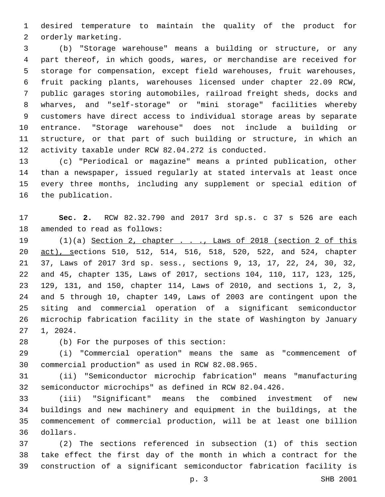desired temperature to maintain the quality of the product for 2 orderly marketing.

 (b) "Storage warehouse" means a building or structure, or any part thereof, in which goods, wares, or merchandise are received for storage for compensation, except field warehouses, fruit warehouses, fruit packing plants, warehouses licensed under chapter 22.09 RCW, public garages storing automobiles, railroad freight sheds, docks and wharves, and "self-storage" or "mini storage" facilities whereby customers have direct access to individual storage areas by separate entrance. "Storage warehouse" does not include a building or structure, or that part of such building or structure, in which an activity taxable under RCW 82.04.272 is conducted.

 (c) "Periodical or magazine" means a printed publication, other than a newspaper, issued regularly at stated intervals at least once every three months, including any supplement or special edition of 16 the publication.

 **Sec. 2.** RCW 82.32.790 and 2017 3rd sp.s. c 37 s 526 are each 18 amended to read as follows:

19 (1)(a) Section 2, chapter . . ., Laws of 2018 (section 2 of this act), sections 510, 512, 514, 516, 518, 520, 522, and 524, chapter 37, Laws of 2017 3rd sp. sess., sections 9, 13, 17, 22, 24, 30, 32, and 45, chapter 135, Laws of 2017, sections 104, 110, 117, 123, 125, 129, 131, and 150, chapter 114, Laws of 2010, and sections 1, 2, 3, and 5 through 10, chapter 149, Laws of 2003 are contingent upon the siting and commercial operation of a significant semiconductor microchip fabrication facility in the state of Washington by January 27 1, 2024.

(b) For the purposes of this section:28

 (i) "Commercial operation" means the same as "commencement of 30 commercial production" as used in RCW 82.08.965.

 (ii) "Semiconductor microchip fabrication" means "manufacturing semiconductor microchips" as defined in RCW 82.04.426.

 (iii) "Significant" means the combined investment of new buildings and new machinery and equipment in the buildings, at the commencement of commercial production, will be at least one billion dollars.36

 (2) The sections referenced in subsection (1) of this section take effect the first day of the month in which a contract for the construction of a significant semiconductor fabrication facility is